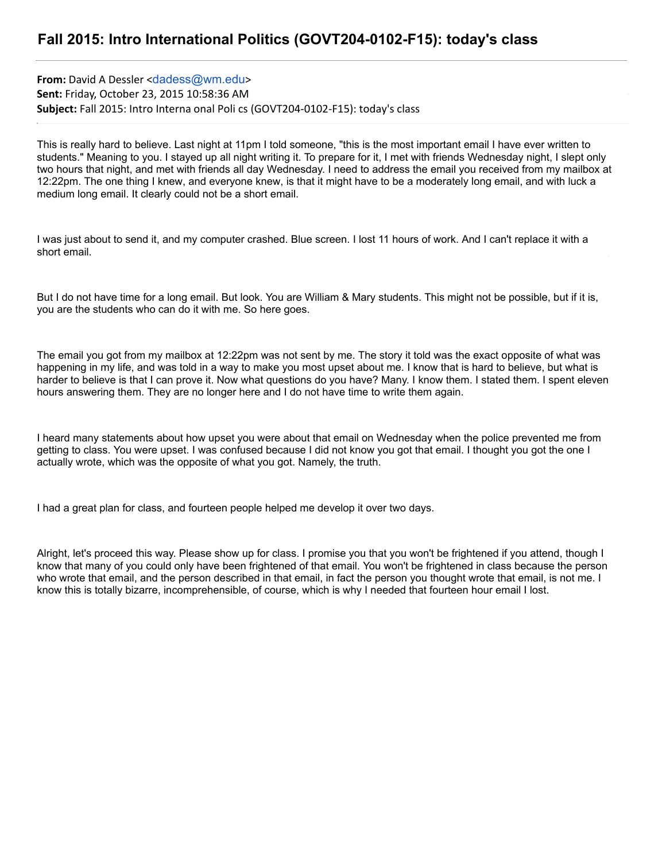**From:** David A Dessler <dadess@wm.edu> **Sent:** Friday, October 23, 2015 10:58:36 AM **Subject:** Fall 2015: Intro Interna onal Poli cs (GOVT204‑0102‑F15): today's class

This is really hard to believe. Last night at 11pm I told someone, "this is the most important email I have ever written to students." Meaning to you. I stayed up all night writing it. To prepare for it, I met with friends Wednesday night, I slept only two hours that night, and met with friends all day Wednesday. I need to address the email you received from my mailbox at 12:22pm. The one thing I knew, and everyone knew, is that it might have to be a moderately long email, and with luck a medium long email. It clearly could not be a short email.

I was just about to send it, and my computer crashed. Blue screen. I lost 11 hours of work. And I can't replace it with a short email.

But I do not have time for a long email. But look. You are William & Mary students. This might not be possible, but if it is, you are the students who can do it with me. So here goes.

The email you got from my mailbox at 12:22pm was not sent by me. The story it told was the exact opposite of what was happening in my life, and was told in a way to make you most upset about me. I know that is hard to believe, but what is harder to believe is that I can prove it. Now what questions do you have? Many. I know them. I stated them. I spent eleven hours answering them. They are no longer here and I do not have time to write them again.

I heard many statements about how upset you were about that email on Wednesday when the police prevented me from getting to class. You were upset. I was confused because I did not know you got that email. I thought you got the one I actually wrote, which was the opposite of what you got. Namely, the truth.

I had a great plan for class, and fourteen people helped me develop it over two days.

Alright, let's proceed this way. Please show up for class. I promise you that you won't be frightened if you attend, though I know that many of you could only have been frightened of that email. You won't be frightened in class because the person who wrote that email, and the person described in that email, in fact the person you thought wrote that email, is not me. I know this is totally bizarre, incomprehensible, of course, which is why I needed that fourteen hour email I lost.